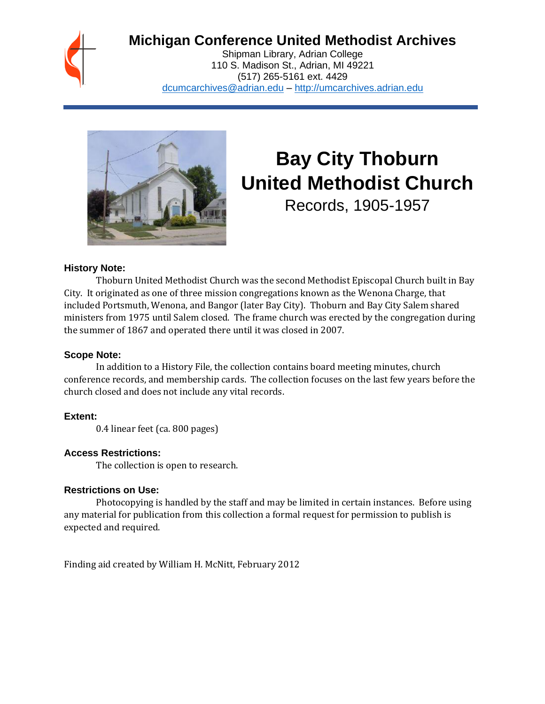

# **Michigan Conference United Methodist Archives**

Shipman Library, Adrian College 110 S. Madison St., Adrian, MI 49221 (517) 265-5161 ext. 4429 [dcumcarchives@adrian.edu](mailto:dcumcarchives@adrian.edu) – [http://umcarchives.adrian.edu](http://umcarchives.adrian.edu/)



# **Bay City Thoburn United Methodist Church**

Records, 1905-1957

#### **History Note:**

Thoburn United Methodist Church was the second Methodist Episcopal Church built in Bay City. It originated as one of three mission congregations known as the Wenona Charge, that included Portsmuth, Wenona, and Bangor (later Bay City). Thoburn and Bay City Salem shared ministers from 1975 until Salem closed. The frame church was erected by the congregation during the summer of 1867 and operated there until it was closed in 2007.

### **Scope Note:**

In addition to a History File, the collection contains board meeting minutes, church conference records, and membership cards. The collection focuses on the last few years before the church closed and does not include any vital records.

# **Extent:**

0.4 linear feet (ca. 800 pages)

# **Access Restrictions:**

The collection is open to research.

#### **Restrictions on Use:**

Photocopying is handled by the staff and may be limited in certain instances. Before using any material for publication from this collection a formal request for permission to publish is expected and required.

Finding aid created by William H. McNitt, February 2012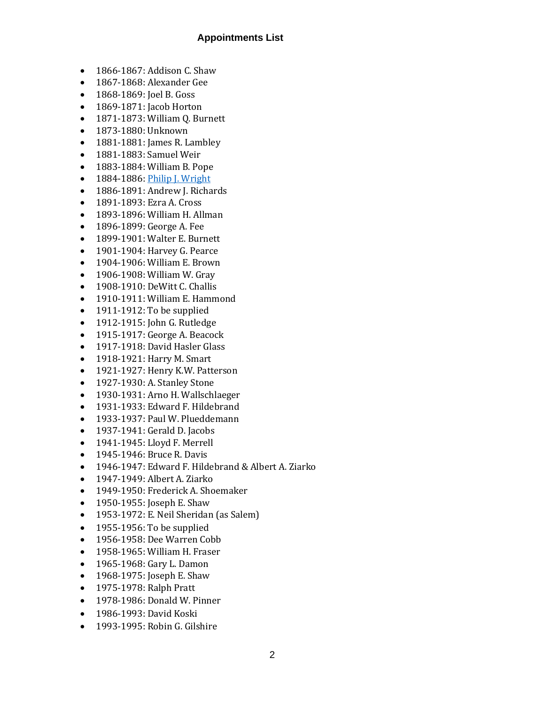#### **Appointments List**

- 1866-1867: Addison C. Shaw
- 1867-1868: Alexander Gee
- 1868-1869: Joel B. Goss
- 1869-1871: Jacob Horton
- 1871-1873: William Q. Burnett
- 1873-1880: Unknown
- 1881-1881: James R. Lambley
- 1881-1883: Samuel Weir
- 1883-1884: William B. Pope
- 1884-1886[: Philip J. Wright](http://umcarchives.adrian.edu/clergy/wrightpj.php)
- 1886-1891: Andrew J. Richards
- 1891-1893: Ezra A. Cross
- 1893-1896: William H. Allman
- 1896-1899: George A. Fee
- 1899-1901: Walter E. Burnett
- 1901-1904: Harvey G. Pearce
- 1904-1906: William E. Brown
- 1906-1908: William W. Gray
- 1908-1910: DeWitt C. Challis
- 1910-1911: William E. Hammond
- 1911-1912: To be supplied
- 1912-1915: John G. Rutledge
- 1915-1917: George A. Beacock
- 1917-1918: David Hasler Glass
- 1918-1921: Harry M. Smart
- 1921-1927: Henry K.W. Patterson
- 1927-1930: A. Stanley Stone
- 1930-1931: Arno H. Wallschlaeger
- 1931-1933: Edward F. Hildebrand
- 1933-1937: Paul W. Plueddemann
- 1937-1941: Gerald D. Jacobs
- 1941-1945: Lloyd F. Merrell
- 1945-1946: Bruce R. Davis
- 1946-1947: Edward F. Hildebrand & Albert A. Ziarko
- 1947-1949: Albert A. Ziarko
- 1949-1950: Frederick A. Shoemaker
- 1950-1955: Joseph E. Shaw
- 1953-1972: E. Neil Sheridan (as Salem)
- 1955-1956: To be supplied
- 1956-1958: Dee Warren Cobb
- 1958-1965: William H. Fraser
- 1965-1968: Gary L. Damon
- 1968-1975: Joseph E. Shaw
- 1975-1978: Ralph Pratt
- 1978-1986: Donald W. Pinner
- 1986-1993: David Koski
- 1993-1995: Robin G. Gilshire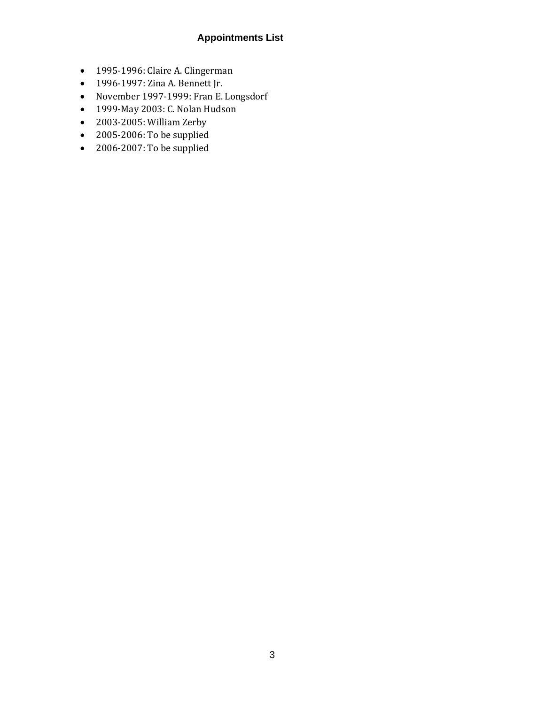# **Appointments List**

- 1995-1996: Claire A. Clingerman
- 1996-1997: Zina A. Bennett Jr.
- November 1997-1999: Fran E. Longsdorf
- 1999-May 2003: C. Nolan Hudson
- 2003-2005: William Zerby
- 2005-2006: To be supplied
- 2006-2007: To be supplied